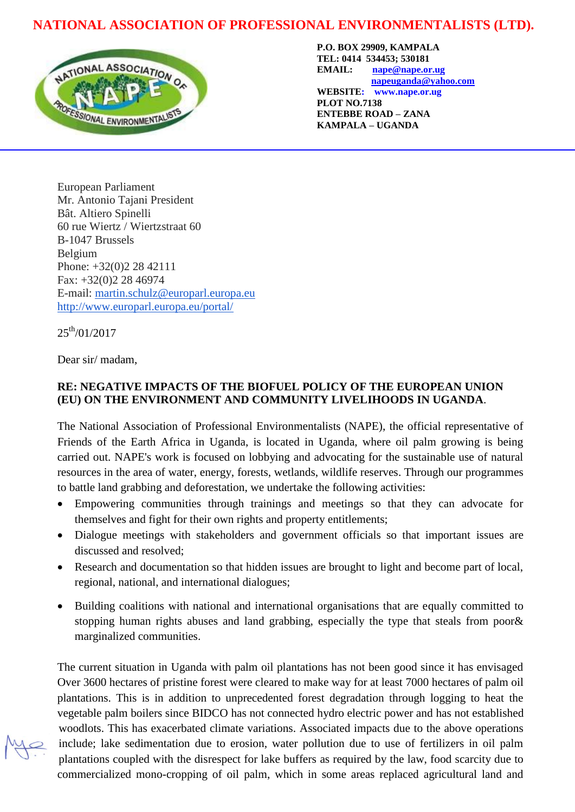## **NATIONAL ASSOCIATION OF PROFESSIONAL ENVIRONMENTALISTS (LTD).**



**P.O. BOX 29909, KAMPALA TEL: 0414 534453; 530181 EMAIL: [nape@nape.or.ug](mailto:nape@nape.or.ug) [napeuganda@yahoo.com](mailto:napeuganda@yahoo.com) WEBSITE: www.nape.or.ug PLOT NO.7138 ENTEBBE ROAD – ZANA**

**KAMPALA – UGANDA**

European Parliament Mr. Antonio Tajani President Bât. Altiero Spinelli 60 rue Wiertz / Wiertzstraat 60 B-1047 Brussels Belgium Phone: +32(0)2 28 42111 Fax: +32(0)2 28 46974 E-mail: [martin.schulz@europarl.europa.eu](mailto:martin.schulz@europarl.europa.eu) <http://www.europarl.europa.eu/portal/>

 $25^{th}/01/2017$ 

l

Dear sir/ madam,

## **RE: NEGATIVE IMPACTS OF THE BIOFUEL POLICY OF THE EUROPEAN UNION (EU) ON THE ENVIRONMENT AND COMMUNITY LIVELIHOODS IN UGANDA**.

The National Association of Professional Environmentalists (NAPE), the official representative of Friends of the Earth Africa in Uganda, is located in Uganda, where oil palm growing is being carried out. NAPE's work is focused on lobbying and advocating for the sustainable use of natural resources in the area of water, energy, forests, wetlands, wildlife reserves. Through our programmes to battle land grabbing and deforestation, we undertake the following activities:

- Empowering communities through trainings and meetings so that they can advocate for themselves and fight for their own rights and property entitlements;
- Dialogue meetings with stakeholders and government officials so that important issues are discussed and resolved;
- Research and documentation so that hidden issues are brought to light and become part of local, regional, national, and international dialogues;
- Building coalitions with national and international organisations that are equally committed to stopping human rights abuses and land grabbing, especially the type that steals from poor& marginalized communities.

The current situation in Uganda with palm oil plantations has not been good since it has envisaged Over 3600 hectares of pristine forest were cleared to make way for at least 7000 hectares of palm oil plantations. This is in addition to unprecedented forest degradation through logging to heat the vegetable palm boilers since BIDCO has not connected hydro electric power and has not established woodlots. This has exacerbated climate variations. Associated impacts due to the above operations include; lake sedimentation due to erosion, water pollution due to use of fertilizers in oil palm plantations coupled with the disrespect for lake buffers as required by the law, food scarcity due to commercialized mono-cropping of oil palm, which in some areas replaced agricultural land and

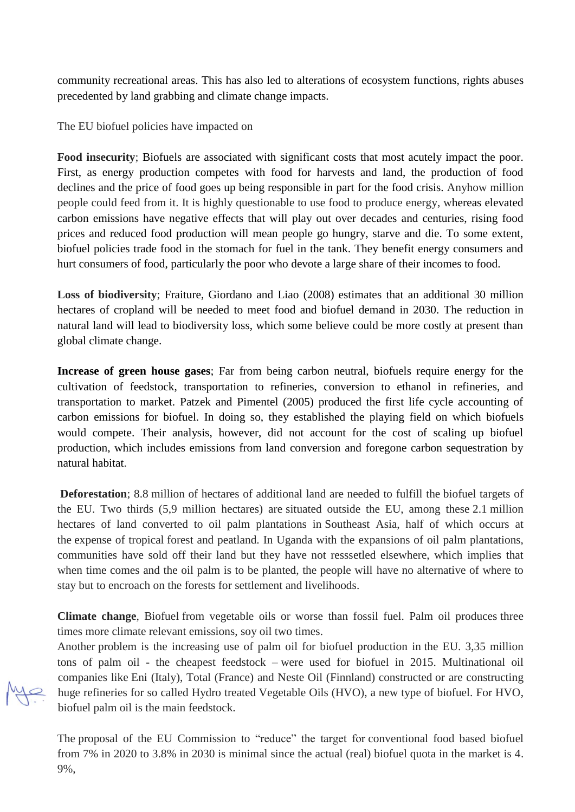community recreational areas. This has also led to alterations of ecosystem functions, rights abuses precedented by land grabbing and climate change impacts.

The EU biofuel policies have impacted on

**Food insecurity**; Biofuels are associated with significant costs that most acutely impact the poor. First, as energy production competes with food for harvests and land, the production of food declines and the price of food goes up being responsible in part for the food crisis. Anyhow million people could feed from it. It is highly questionable to use food to produce energy, whereas elevated carbon emissions have negative effects that will play out over decades and centuries, rising food prices and reduced food production will mean people go hungry, starve and die. To some extent, biofuel policies trade food in the stomach for fuel in the tank. They benefit energy consumers and hurt consumers of food, particularly the poor who devote a large share of their incomes to food.

**Loss of biodiversity**; Fraiture, Giordano and Liao (2008) estimates that an additional 30 million hectares of cropland will be needed to meet food and biofuel demand in 2030. The reduction in natural land will lead to biodiversity loss, which some believe could be more costly at present than global climate change.

**Increase of green house gases**; Far from being carbon neutral, biofuels require energy for the cultivation of feedstock, transportation to refineries, conversion to ethanol in refineries, and transportation to market. Patzek and Pimentel (2005) produced the first life cycle accounting of carbon emissions for biofuel. In doing so, they established the playing field on which biofuels would compete. Their analysis, however, did not account for the cost of scaling up biofuel production, which includes emissions from land conversion and foregone carbon sequestration by natural habitat.

**Deforestation**; 8.8 million of hectares of additional land are needed to fulfill the biofuel targets of the EU. Two thirds (5,9 million hectares) are situated outside the EU, among these 2.1 million hectares of land converted to oil palm plantations in Southeast Asia, half of which occurs at the expense of tropical forest and peatland. In Uganda with the expansions of oil palm plantations, communities have sold off their land but they have not resssetled elsewhere, which implies that when time comes and the oil palm is to be planted, the people will have no alternative of where to stay but to encroach on the forests for settlement and livelihoods.

**Climate change**, Biofuel from vegetable oils or worse than fossil fuel. Palm oil produces three times more climate relevant emissions, soy oil two times.

Another problem is the increasing use of palm oil for biofuel production in the EU. 3,35 million tons of palm oil - the cheapest feedstock – were used for biofuel in 2015. Multinational oil companies like Eni (Italy), Total (France) and Neste Oil (Finnland) constructed or are constructing huge refineries for so called Hydro treated Vegetable Oils (HVO), a new type of biofuel. For HVO, biofuel palm oil is the main feedstock.

The proposal of the EU Commission to "reduce" the target for conventional food based biofuel from 7% in 2020 to 3.8% in 2030 is minimal since the actual (real) biofuel quota in the market is 4. 9%,